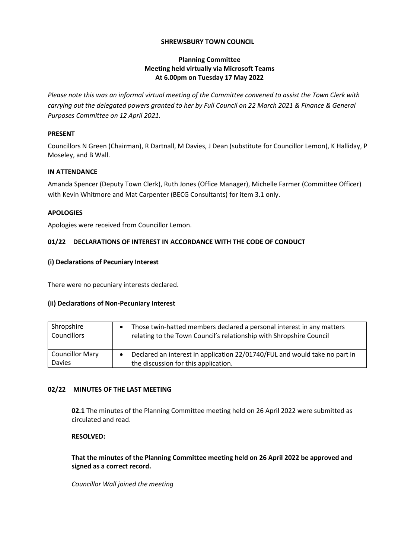### **SHREWSBURY TOWN COUNCIL**

## **Planning Committee Meeting held virtually via Microsoft Teams At 6.00pm on Tuesday 17 May 2022**

*Please note this was an informal virtual meeting of the Committee convened to assist the Town Clerk with carrying out the delegated powers granted to her by Full Council on 22 March 2021 & Finance & General Purposes Committee on 12 April 2021.*

## **PRESENT**

Councillors N Green (Chairman), R Dartnall, M Davies, J Dean (substitute for Councillor Lemon), K Halliday, P Moseley, and B Wall.

## **IN ATTENDANCE**

Amanda Spencer (Deputy Town Clerk), Ruth Jones (Office Manager), Michelle Farmer (Committee Officer) with Kevin Whitmore and Mat Carpenter (BECG Consultants) for item 3.1 only.

## **APOLOGIES**

Apologies were received from Councillor Lemon.

## **01/22 DECLARATIONS OF INTEREST IN ACCORDANCE WITH THE CODE OF CONDUCT**

## **(i) Declarations of Pecuniary Interest**

There were no pecuniary interests declared.

#### **(ii) Declarations of Non-Pecuniary Interest**

| Shropshire                              | Those twin-hatted members declared a personal interest in any matters                                                           |
|-----------------------------------------|---------------------------------------------------------------------------------------------------------------------------------|
| Councillors                             | relating to the Town Council's relationship with Shropshire Council                                                             |
| <b>Councillor Mary</b><br><b>Davies</b> | Declared an interest in application 22/01740/FUL and would take no part in<br>$\bullet$<br>the discussion for this application. |

## **02/22 MINUTES OF THE LAST MEETING**

**02.1** The minutes of the Planning Committee meeting held on 26 April 2022 were submitted as circulated and read.

#### **RESOLVED:**

**That the minutes of the Planning Committee meeting held on 26 April 2022 be approved and signed as a correct record.**

*Councillor Wall joined the meeting*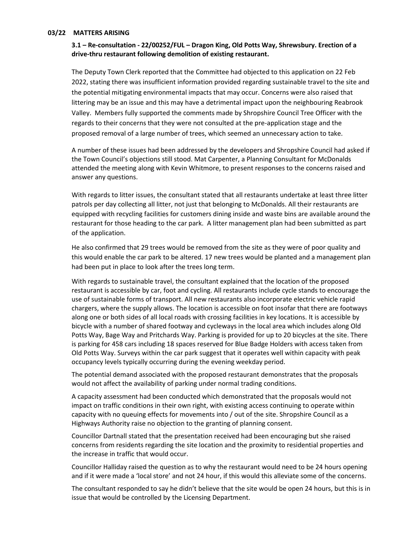#### **03/22 MATTERS ARISING**

## **3.1 – Re-consultation - 22/00252/FUL – Dragon King, Old Potts Way, Shrewsbury. Erection of a drive-thru restaurant following demolition of existing restaurant.**

The Deputy Town Clerk reported that the Committee had objected to this application on 22 Feb 2022, stating there was insufficient information provided regarding sustainable travel to the site and the potential mitigating environmental impacts that may occur. Concerns were also raised that littering may be an issue and this may have a detrimental impact upon the neighbouring Reabrook Valley. Members fully supported the comments made by Shropshire Council Tree Officer with the regards to their concerns that they were not consulted at the pre-application stage and the proposed removal of a large number of trees, which seemed an unnecessary action to take.

A number of these issues had been addressed by the developers and Shropshire Council had asked if the Town Council's objections still stood. Mat Carpenter, a Planning Consultant for McDonalds attended the meeting along with Kevin Whitmore, to present responses to the concerns raised and answer any questions.

With regards to litter issues, the consultant stated that all restaurants undertake at least three litter patrols per day collecting all litter, not just that belonging to McDonalds. All their restaurants are equipped with recycling facilities for customers dining inside and waste bins are available around the restaurant for those heading to the car park. A litter management plan had been submitted as part of the application.

He also confirmed that 29 trees would be removed from the site as they were of poor quality and this would enable the car park to be altered. 17 new trees would be planted and a management plan had been put in place to look after the trees long term.

With regards to sustainable travel, the consultant explained that the location of the proposed restaurant is accessible by car, foot and cycling. All restaurants include cycle stands to encourage the use of sustainable forms of transport. All new restaurants also incorporate electric vehicle rapid chargers, where the supply allows. The location is accessible on foot insofar that there are footways along one or both sides of all local roads with crossing facilities in key locations. It is accessible by bicycle with a number of shared footway and cycleways in the local area which includes along Old Potts Way, Bage Way and Pritchards Way. Parking is provided for up to 20 bicycles at the site. There is parking for 458 cars including 18 spaces reserved for Blue Badge Holders with access taken from Old Potts Way. Surveys within the car park suggest that it operates well within capacity with peak occupancy levels typically occurring during the evening weekday period.

The potential demand associated with the proposed restaurant demonstrates that the proposals would not affect the availability of parking under normal trading conditions.

A capacity assessment had been conducted which demonstrated that the proposals would not impact on traffic conditions in their own right, with existing access continuing to operate within capacity with no queuing effects for movements into / out of the site. Shropshire Council as a Highways Authority raise no objection to the granting of planning consent.

Councillor Dartnall stated that the presentation received had been encouraging but she raised concerns from residents regarding the site location and the proximity to residential properties and the increase in traffic that would occur.

Councillor Halliday raised the question as to why the restaurant would need to be 24 hours opening and if it were made a 'local store' and not 24 hour, if this would this alleviate some of the concerns.

The consultant responded to say he didn't believe that the site would be open 24 hours, but this is in issue that would be controlled by the Licensing Department.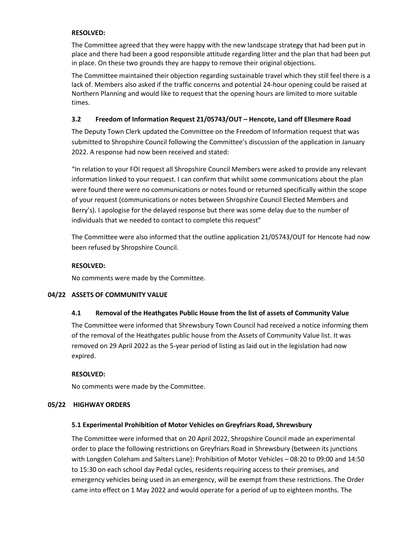## **RESOLVED:**

The Committee agreed that they were happy with the new landscape strategy that had been put in place and there had been a good responsible attitude regarding litter and the plan that had been put in place. On these two grounds they are happy to remove their original objections.

The Committee maintained their objection regarding sustainable travel which they still feel there is a lack of. Members also asked if the traffic concerns and potential 24-hour opening could be raised at Northern Planning and would like to request that the opening hours are limited to more suitable times.

## **3.2 Freedom of Information Request 21/05743/OUT – Hencote, Land off Ellesmere Road**

The Deputy Town Clerk updated the Committee on the Freedom of Information request that was submitted to Shropshire Council following the Committee's discussion of the application in January 2022. A response had now been received and stated:

"In relation to your FOI request all Shropshire Council Members were asked to provide any relevant information linked to your request. I can confirm that whilst some communications about the plan were found there were no communications or notes found or returned specifically within the scope of your request (communications or notes between Shropshire Council Elected Members and Berry's). I apologise for the delayed response but there was some delay due to the number of individuals that we needed to contact to complete this request"

The Committee were also informed that the outline application 21/05743/OUT for Hencote had now been refused by Shropshire Council.

## **RESOLVED:**

No comments were made by the Committee.

## **04/22 ASSETS OF COMMUNITY VALUE**

#### **4.1 Removal of the Heathgates Public House from the list of assets of Community Value**

The Committee were informed that Shrewsbury Town Council had received a notice informing them of the removal of the Heathgates public house from the Assets of Community Value list. It was removed on 29 April 2022 as the 5-year period of listing as laid out in the legislation had now expired.

#### **RESOLVED:**

No comments were made by the Committee.

#### **05/22 HIGHWAY ORDERS**

#### **5.1 Experimental Prohibition of Motor Vehicles on Greyfriars Road, Shrewsbury**

The Committee were informed that on 20 April 2022, Shropshire Council made an experimental order to place the following restrictions on Greyfriars Road in Shrewsbury (between its junctions with Longden Coleham and Salters Lane): Prohibition of Motor Vehicles – 08:20 to 09:00 and 14:50 to 15:30 on each school day Pedal cycles, residents requiring access to their premises, and emergency vehicles being used in an emergency, will be exempt from these restrictions. The Order came into effect on 1 May 2022 and would operate for a period of up to eighteen months. The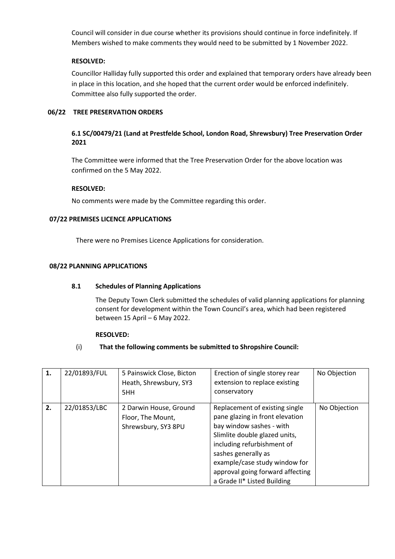Council will consider in due course whether its provisions should continue in force indefinitely. If Members wished to make comments they would need to be submitted by 1 November 2022.

## **RESOLVED:**

Councillor Halliday fully supported this order and explained that temporary orders have already been in place in this location, and she hoped that the current order would be enforced indefinitely. Committee also fully supported the order.

## **06/22 TREE PRESERVATION ORDERS**

## **6.1 SC/00479/21 (Land at Prestfelde School, London Road, Shrewsbury) Tree Preservation Order 2021**

The Committee were informed that the Tree Preservation Order for the above location was confirmed on the 5 May 2022.

## **RESOLVED:**

No comments were made by the Committee regarding this order.

## **07/22 PREMISES LICENCE APPLICATIONS**

There were no Premises Licence Applications for consideration.

## **08/22 PLANNING APPLICATIONS**

#### **8.1 Schedules of Planning Applications**

The Deputy Town Clerk submitted the schedules of valid planning applications for planning consent for development within the Town Council's area, which had been registered between 15 April – 6 May 2022.

#### **RESOLVED:**

## (i) **That the following comments be submitted to Shropshire Council:**

| 1. | 22/01893/FUL | 5 Painswick Close, Bicton<br>Heath, Shrewsbury, SY3<br>5HH         | Erection of single storey rear<br>extension to replace existing<br>conservatory                                                                                                                                                                                                         | No Objection |
|----|--------------|--------------------------------------------------------------------|-----------------------------------------------------------------------------------------------------------------------------------------------------------------------------------------------------------------------------------------------------------------------------------------|--------------|
| 2. | 22/01853/LBC | 2 Darwin House, Ground<br>Floor, The Mount,<br>Shrewsbury, SY3 8PU | Replacement of existing single<br>pane glazing in front elevation<br>bay window sashes - with<br>Slimlite double glazed units,<br>including refurbishment of<br>sashes generally as<br>example/case study window for<br>approval going forward affecting<br>a Grade II* Listed Building | No Objection |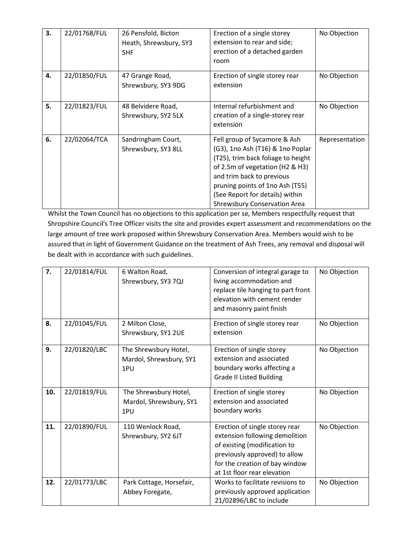| 3. | 22/01768/FUL | 26 Pensfold, Bicton<br>Heath, Shrewsbury, SY3<br>5HF | Erection of a single storey<br>extension to rear and side;<br>erection of a detached garden<br>room                                                                                                                                                                                 | No Objection   |
|----|--------------|------------------------------------------------------|-------------------------------------------------------------------------------------------------------------------------------------------------------------------------------------------------------------------------------------------------------------------------------------|----------------|
| 4. | 22/01850/FUL | 47 Grange Road,<br>Shrewsbury, SY3 9DG               | Erection of single storey rear<br>extension                                                                                                                                                                                                                                         | No Objection   |
| 5. | 22/01823/FUL | 48 Belvidere Road,<br>Shrewsbury, SY2 5LX            | Internal refurbishment and<br>creation of a single-storey rear<br>extension                                                                                                                                                                                                         | No Objection   |
| 6. | 22/02064/TCA | Sandringham Court,<br>Shrewsbury, SY3 8LL            | Fell group of Sycamore & Ash<br>(G3), 1no Ash (T16) & 1no Poplar<br>(T25), trim back foliage to height<br>of 2.5m of vegetation (H2 & H3)<br>and trim back to previous<br>pruning points of 1no Ash (T55)<br>(See Report for details) within<br><b>Shrewsbury Conservation Area</b> | Representation |

Whilst the Town Council has no objections to this application per se, Members respectfully request that Shropshire Council's Tree Officer visits the site and provides expert assessment and recommendations on the large amount of tree work proposed within Shrewsbury Conservation Area. Members would wish to be assured that in light of Government Guidance on the treatment of Ash Trees, any removal and disposal will be dealt with in accordance with such guidelines.

| 7.  | 22/01814/FUL | 6 Walton Road,<br>Shrewsbury, SY3 7QJ                   | Conversion of integral garage to<br>living accommodation and<br>replace tile hanging to part front<br>elevation with cement render<br>and masonry paint finish                                     | No Objection |
|-----|--------------|---------------------------------------------------------|----------------------------------------------------------------------------------------------------------------------------------------------------------------------------------------------------|--------------|
| 8.  | 22/01045/FUL | 2 Milton Close,<br>Shrewsbury, SY1 2UE                  | Erection of single storey rear<br>extension                                                                                                                                                        | No Objection |
| 9.  | 22/01820/LBC | The Shrewsbury Hotel,<br>Mardol, Shrewsbury, SY1<br>1PU | Erection of single storey<br>extension and associated<br>boundary works affecting a<br><b>Grade II Listed Building</b>                                                                             | No Objection |
| 10. | 22/01819/FUL | The Shrewsbury Hotel,<br>Mardol, Shrewsbury, SY1<br>1PU | Erection of single storey<br>extension and associated<br>boundary works                                                                                                                            | No Objection |
| 11. | 22/01890/FUL | 110 Wenlock Road,<br>Shrewsbury, SY2 6JT                | Erection of single storey rear<br>extension following demolition<br>of existing (modification to<br>previously approved) to allow<br>for the creation of bay window<br>at 1st floor rear elevation | No Objection |
| 12. | 22/01773/LBC | Park Cottage, Horsefair,<br>Abbey Foregate,             | Works to facilitate revisions to<br>previously approved application<br>21/02896/LBC to include                                                                                                     | No Objection |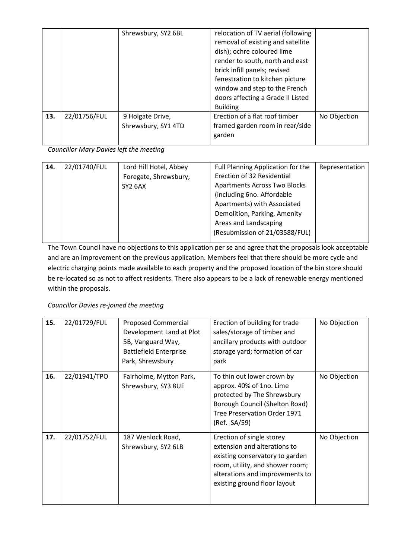|     |              | Shrewsbury, SY2 6BL                     | relocation of TV aerial (following<br>removal of existing and satellite<br>dish); ochre coloured lime<br>render to south, north and east<br>brick infill panels; revised<br>fenestration to kitchen picture<br>window and step to the French<br>doors affecting a Grade II Listed<br><b>Building</b> |              |
|-----|--------------|-----------------------------------------|------------------------------------------------------------------------------------------------------------------------------------------------------------------------------------------------------------------------------------------------------------------------------------------------------|--------------|
| 13. | 22/01756/FUL | 9 Holgate Drive,<br>Shrewsbury, SY1 4TD | Erection of a flat roof timber<br>framed garden room in rear/side<br>garden                                                                                                                                                                                                                          | No Objection |

*Councillor Mary Davies left the meeting*

| 14. | 22/01740/FUL | Lord Hill Hotel, Abbey | Full Planning Application for the   | Representation |
|-----|--------------|------------------------|-------------------------------------|----------------|
|     |              | Foregate, Shrewsbury,  | Erection of 32 Residential          |                |
|     |              | SY <sub>2</sub> 6AX    | <b>Apartments Across Two Blocks</b> |                |
|     |              |                        | (including 6no. Affordable          |                |
|     |              |                        | Apartments) with Associated         |                |
|     |              |                        | Demolition, Parking, Amenity        |                |
|     |              |                        | Areas and Landscaping               |                |
|     |              |                        | (Resubmission of 21/03588/FUL)      |                |
|     |              |                        |                                     |                |

The Town Council have no objections to this application per se and agree that the proposals look acceptable and are an improvement on the previous application. Members feel that there should be more cycle and electric charging points made available to each property and the proposed location of the bin store should be re-located so as not to affect residents. There also appears to be a lack of renewable energy mentioned within the proposals.

*Councillor Davies re-joined the meeting*

| 15. | 22/01729/FUL | <b>Proposed Commercial</b><br>Development Land at Plot<br>5B, Vanguard Way,<br><b>Battlefield Enterprise</b><br>Park, Shrewsbury | Erection of building for trade<br>sales/storage of timber and<br>ancillary products with outdoor<br>storage yard; formation of car<br>park                                                         | No Objection |
|-----|--------------|----------------------------------------------------------------------------------------------------------------------------------|----------------------------------------------------------------------------------------------------------------------------------------------------------------------------------------------------|--------------|
| 16. | 22/01941/TPO | Fairholme, Mytton Park,<br>Shrewsbury, SY3 8UE                                                                                   | To thin out lower crown by<br>approx. 40% of 1no. Lime<br>protected by The Shrewsbury<br>Borough Council (Shelton Road)<br>Tree Preservation Order 1971<br>(Ref. SA/59)                            | No Objection |
| 17. | 22/01752/FUL | 187 Wenlock Road,<br>Shrewsbury, SY2 6LB                                                                                         | Erection of single storey<br>extension and alterations to<br>existing conservatory to garden<br>room, utility, and shower room;<br>alterations and improvements to<br>existing ground floor layout | No Objection |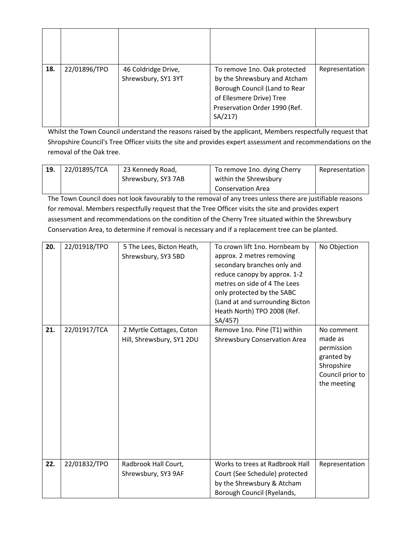| 18. | 22/01896/TPO | 46 Coldridge Drive,<br>Shrewsbury, SY1 3YT | To remove 1no. Oak protected<br>by the Shrewsbury and Atcham<br>Borough Council (Land to Rear<br>of Ellesmere Drive) Tree<br>Preservation Order 1990 (Ref.<br>SA/217 | Representation |
|-----|--------------|--------------------------------------------|----------------------------------------------------------------------------------------------------------------------------------------------------------------------|----------------|

Whilst the Town Council understand the reasons raised by the applicant, Members respectfully request that Shropshire Council's Tree Officer visits the site and provides expert assessment and recommendations on the removal of the Oak tree.

| 19. | 22/01895/TCA | 23 Kennedy Road,    | To remove 1no. dying Cherry | Representation |
|-----|--------------|---------------------|-----------------------------|----------------|
|     |              | Shrewsbury, SY3 7AB | within the Shrewsbury       |                |
|     |              |                     | <b>Conservation Area</b>    |                |

The Town Council does not look favourably to the removal of any trees unless there are justifiable reasons for removal. Members respectfully request that the Tree Officer visits the site and provides expert assessment and recommendations on the condition of the Cherry Tree situated within the Shrewsbury Conservation Area, to determine if removal is necessary and if a replacement tree can be planted.

| 20. | 22/01918/TPO | 5 The Lees, Bicton Heath,<br>Shrewsbury, SY3 5BD      | To crown lift 1no. Hornbeam by<br>approx. 2 metres removing<br>secondary branches only and<br>reduce canopy by approx. 1-2<br>metres on side of 4 The Lees<br>only protected by the SABC<br>(Land at and surrounding Bicton<br>Heath North) TPO 2008 (Ref.<br>SA/457) | No Objection                                                                                       |
|-----|--------------|-------------------------------------------------------|-----------------------------------------------------------------------------------------------------------------------------------------------------------------------------------------------------------------------------------------------------------------------|----------------------------------------------------------------------------------------------------|
| 21. | 22/01917/TCA | 2 Myrtle Cottages, Coton<br>Hill, Shrewsbury, SY1 2DU | Remove 1no. Pine (T1) within<br><b>Shrewsbury Conservation Area</b>                                                                                                                                                                                                   | No comment<br>made as<br>permission<br>granted by<br>Shropshire<br>Council prior to<br>the meeting |
| 22. | 22/01832/TPO | Radbrook Hall Court,<br>Shrewsbury, SY3 9AF           | Works to trees at Radbrook Hall<br>Court (See Schedule) protected<br>by the Shrewsbury & Atcham<br>Borough Council (Ryelands,                                                                                                                                         | Representation                                                                                     |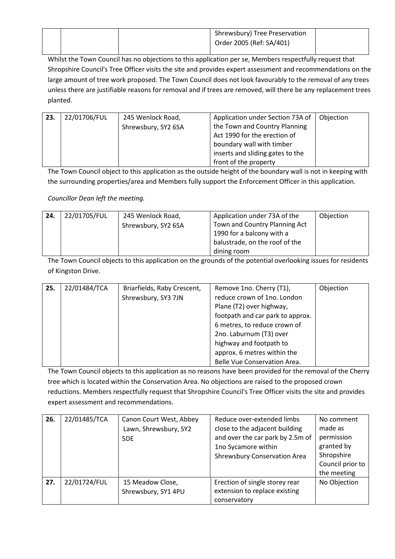|  | Shrewsbury) Tree Preservation<br>Order 2005 (Ref: SA/401) |  |
|--|-----------------------------------------------------------|--|
|  |                                                           |  |

Whilst the Town Council has no objections to this application per se, Members respectfully request that Shropshire Council's Tree Officer visits the site and provides expert assessment and recommendations on the large amount of tree work proposed. The Town Council does not look favourably to the removal of any trees unless there are justifiable reasons for removal and if trees are removed, will there be any replacement trees planted.

| 23. | 22/01706/FUL | 245 Wenlock Road,   | Application under Section 73A of | Objection |
|-----|--------------|---------------------|----------------------------------|-----------|
|     |              | Shrewsbury, SY2 6SA | the Town and Country Planning    |           |
|     |              |                     | Act 1990 for the erection of     |           |
|     |              |                     | boundary wall with timber        |           |
|     |              |                     | inserts and sliding gates to the |           |
|     |              |                     | front of the property            |           |

The Town Council object to this application as the outside height of the boundary wall is not in keeping with the surrounding properties/area and Members fully support the Enforcement Officer in this application.

*Councillor Dean left the meeting.*

| 24. | 22/01705/FUL | 245 Wenlock Road,   | Application under 73A of the   | Objection |
|-----|--------------|---------------------|--------------------------------|-----------|
|     |              | Shrewsbury, SY2 6SA | Town and Country Planning Act  |           |
|     |              |                     | 1990 for a balcony with a      |           |
|     |              |                     | balustrade, on the roof of the |           |
|     |              |                     | dining room                    |           |

The Town Council objects to this application on the grounds of the potential overlooking issues for residents of Kingston Drive.

| 25. | 22/01484/TCA | Briarfields, Raby Crescent, | Remove 1no. Cherry (T1),         | Objection |
|-----|--------------|-----------------------------|----------------------------------|-----------|
|     |              | Shrewsbury, SY3 7JN         | reduce crown of 1no. London      |           |
|     |              |                             | Plane (T2) over highway,         |           |
|     |              |                             | footpath and car park to approx. |           |
|     |              |                             | 6 metres, to reduce crown of     |           |
|     |              |                             | 2no. Laburnum (T3) over          |           |
|     |              |                             | highway and footpath to          |           |
|     |              |                             | approx. 6 metres within the      |           |
|     |              |                             | Belle Vue Conservation Area.     |           |

The Town Council objects to this application as no reasons have been provided for the removal of the Cherry tree which is located within the Conservation Area. No objections are raised to the proposed crown reductions. Members respectfully request that Shropshire Council's Tree Officer visits the site and provides expert assessment and recommendations.

| 26. | 22/01485/TCA | Canon Court West, Abbey | Reduce over-extended limbs       | No comment       |
|-----|--------------|-------------------------|----------------------------------|------------------|
|     |              | Lawn, Shrewsbury, SY2   | close to the adjacent building   | made as          |
|     |              | 5DE                     | and over the car park by 2.5m of | permission       |
|     |              |                         | 1no Sycamore within              | granted by       |
|     |              |                         | Shrewsbury Conservation Area     | Shropshire       |
|     |              |                         |                                  | Council prior to |
|     |              |                         |                                  | the meeting      |
| 27. | 22/01724/FUL | 15 Meadow Close,        | Erection of single storey rear   | No Objection     |
|     |              | Shrewsbury, SY1 4PU     | extension to replace existing    |                  |
|     |              |                         | conservatory                     |                  |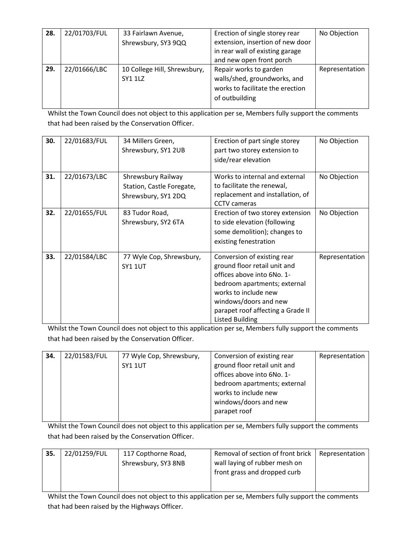| 28. | 22/01703/FUL | 33 Fairlawn Avenue,<br>Shrewsbury, SY3 9QQ     | Erection of single storey rear<br>extension, insertion of new door<br>in rear wall of existing garage<br>and new open front porch | No Objection   |
|-----|--------------|------------------------------------------------|-----------------------------------------------------------------------------------------------------------------------------------|----------------|
| 29. | 22/01666/LBC | 10 College Hill, Shrewsbury,<br><b>SY1 1LZ</b> | Repair works to garden<br>walls/shed, groundworks, and<br>works to facilitate the erection<br>of outbuilding                      | Representation |

Whilst the Town Council does not object to this application per se, Members fully support the comments that had been raised by the Conservation Officer.

| 30. | 22/01683/FUL | 34 Millers Green,<br>Shrewsbury, SY1 2UB         | Erection of part single storey<br>part two storey extension to<br>side/rear elevation                                                                                                                                                     | No Objection   |
|-----|--------------|--------------------------------------------------|-------------------------------------------------------------------------------------------------------------------------------------------------------------------------------------------------------------------------------------------|----------------|
| 31. | 22/01673/LBC | Shrewsbury Railway                               | Works to internal and external                                                                                                                                                                                                            | No Objection   |
|     |              | Station, Castle Foregate,<br>Shrewsbury, SY1 2DQ | to facilitate the renewal,<br>replacement and installation, of<br><b>CCTV</b> cameras                                                                                                                                                     |                |
| 32. | 22/01655/FUL | 83 Tudor Road,<br>Shrewsbury, SY2 6TA            | Erection of two storey extension<br>to side elevation (following<br>some demolition); changes to<br>existing fenestration                                                                                                                 | No Objection   |
| 33. | 22/01584/LBC | 77 Wyle Cop, Shrewsbury,<br><b>SY1 1UT</b>       | Conversion of existing rear<br>ground floor retail unit and<br>offices above into 6No. 1-<br>bedroom apartments; external<br>works to include new<br>windows/doors and new<br>parapet roof affecting a Grade II<br><b>Listed Building</b> | Representation |

Whilst the Town Council does not object to this application per se, Members fully support the comments that had been raised by the Conservation Officer.

| 34. | 22/01583/FUL | 77 Wyle Cop, Shrewsbury, | Conversion of existing rear  | Representation |
|-----|--------------|--------------------------|------------------------------|----------------|
|     |              | <b>SY1 1UT</b>           | ground floor retail unit and |                |
|     |              |                          | offices above into 6No. 1-   |                |
|     |              |                          | bedroom apartments; external |                |
|     |              |                          | works to include new         |                |
|     |              |                          | windows/doors and new        |                |
|     |              |                          | parapet roof                 |                |
|     |              |                          |                              |                |

Whilst the Town Council does not object to this application per se, Members fully support the comments that had been raised by the Conservation Officer.

| 35. | 22/01259/FUL | 117 Copthorne Road, | Removal of section of front brick | Representation |
|-----|--------------|---------------------|-----------------------------------|----------------|
|     |              | Shrewsbury, SY3 8NB | wall laying of rubber mesh on     |                |
|     |              |                     | front grass and dropped curb      |                |
|     |              |                     |                                   |                |
|     |              |                     |                                   |                |

Whilst the Town Council does not object to this application per se, Members fully support the comments that had been raised by the Highways Officer.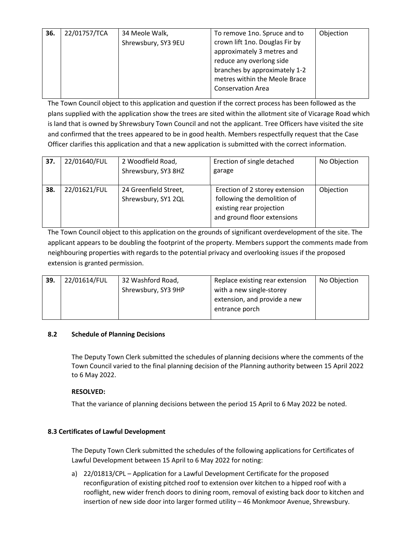| 36. | 22/01757/TCA | 34 Meole Walk,      | To remove 1no. Spruce and to   | Objection |
|-----|--------------|---------------------|--------------------------------|-----------|
|     |              | Shrewsbury, SY3 9EU | crown lift 1no. Douglas Fir by |           |
|     |              |                     | approximately 3 metres and     |           |
|     |              |                     | reduce any overlong side       |           |
|     |              |                     | branches by approximately 1-2  |           |
|     |              |                     | metres within the Meole Brace  |           |
|     |              |                     | <b>Conservation Area</b>       |           |

The Town Council object to this application and question if the correct process has been followed as the plans supplied with the application show the trees are sited within the allotment site of Vicarage Road which is land that is owned by Shrewsbury Town Council and not the applicant. Tree Officers have visited the site and confirmed that the trees appeared to be in good health. Members respectfully request that the Case Officer clarifies this application and that a new application is submitted with the correct information.

| 37. | 22/01640/FUL | 2 Woodfield Road,<br>Shrewsbury, SY3 8HZ     | Erection of single detached<br>garage                                                                                    | No Objection |
|-----|--------------|----------------------------------------------|--------------------------------------------------------------------------------------------------------------------------|--------------|
| 38. | 22/01621/FUL | 24 Greenfield Street,<br>Shrewsbury, SY1 2QL | Erection of 2 storey extension<br>following the demolition of<br>existing rear projection<br>and ground floor extensions | Objection    |

The Town Council object to this application on the grounds of significant overdevelopment of the site. The applicant appears to be doubling the footprint of the property. Members support the comments made from neighbouring properties with regards to the potential privacy and overlooking issues if the proposed extension is granted permission.

| 39. | 22/01614/FUL | 32 Washford Road,   | Replace existing rear extension | No Objection |
|-----|--------------|---------------------|---------------------------------|--------------|
|     |              | Shrewsbury, SY3 9HP | with a new single-storey        |              |
|     |              |                     | extension, and provide a new    |              |
|     |              |                     | entrance porch                  |              |
|     |              |                     |                                 |              |

## **8.2 Schedule of Planning Decisions**

The Deputy Town Clerk submitted the schedules of planning decisions where the comments of the Town Council varied to the final planning decision of the Planning authority between 15 April 2022 to 6 May 2022.

# **RESOLVED:**

That the variance of planning decisions between the period 15 April to 6 May 2022 be noted.

## **8.3 Certificates of Lawful Development**

The Deputy Town Clerk submitted the schedules of the following applications for Certificates of Lawful Development between 15 April to 6 May 2022 for noting:

a) 22/01813/CPL – Application for a Lawful Development Certificate for the proposed reconfiguration of existing pitched roof to extension over kitchen to a hipped roof with a rooflight, new wider french doors to dining room, removal of existing back door to kitchen and insertion of new side door into larger formed utility – 46 Monkmoor Avenue, Shrewsbury.